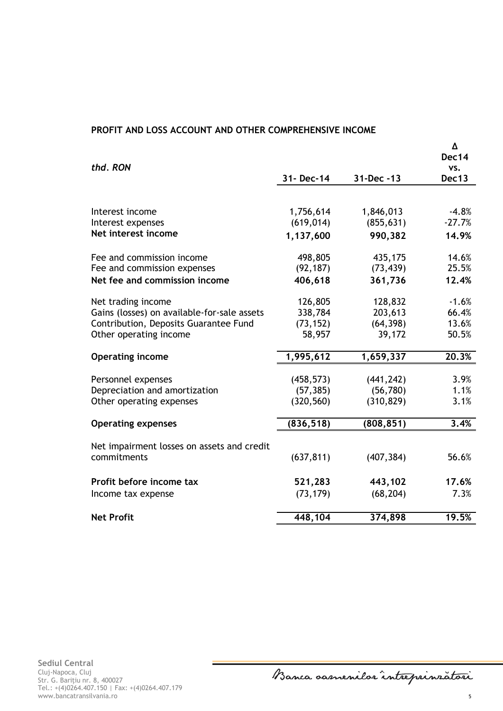## **PROFIT AND LOSS ACCOUNT AND OTHER COMPREHENSIVE INCOME**

| thd. RON                                    |            |            | Δ<br>Dec14<br>VS. |
|---------------------------------------------|------------|------------|-------------------|
|                                             | 31- Dec-14 | 31-Dec -13 | Dec13             |
|                                             |            |            |                   |
| Interest income                             | 1,756,614  | 1,846,013  | $-4.8%$           |
| Interest expenses                           | (619, 014) | (855, 631) | $-27.7%$          |
| Net interest income                         | 1,137,600  | 990,382    | 14.9%             |
| Fee and commission income                   | 498,805    | 435,175    | 14.6%             |
| Fee and commission expenses                 | (92, 187)  | (73, 439)  | 25.5%             |
| Net fee and commission income               | 406,618    | 361,736    | 12.4%             |
| Net trading income                          | 126,805    | 128,832    | $-1.6%$           |
| Gains (losses) on available-for-sale assets | 338,784    | 203,613    | 66.4%             |
| Contribution, Deposits Guarantee Fund       | (73, 152)  | (64, 398)  | 13.6%             |
| Other operating income                      | 58,957     | 39,172     | 50.5%             |
| <b>Operating income</b>                     | 1,995,612  | 1,659,337  | 20.3%             |
|                                             |            |            |                   |
| Personnel expenses                          | (458, 573) | (441, 242) | 3.9%              |
| Depreciation and amortization               | (57, 385)  | (56, 780)  | 1.1%              |
| Other operating expenses                    | (320, 560) | (310, 829) | 3.1%              |
| <b>Operating expenses</b>                   | (836, 518) | (808, 851) | 3.4%              |
| Net impairment losses on assets and credit  |            |            |                   |
| commitments                                 | (637, 811) | (407, 384) | 56.6%             |
|                                             |            |            |                   |
| Profit before income tax                    | 521,283    | 443,102    | 17.6%             |
| Income tax expense                          | (73, 179)  | (68, 204)  | 7.3%              |
| <b>Net Profit</b>                           | 448,104    | 374,898    | 19.5%             |
|                                             |            |            |                   |

Banca oamenilor intreprinzatori